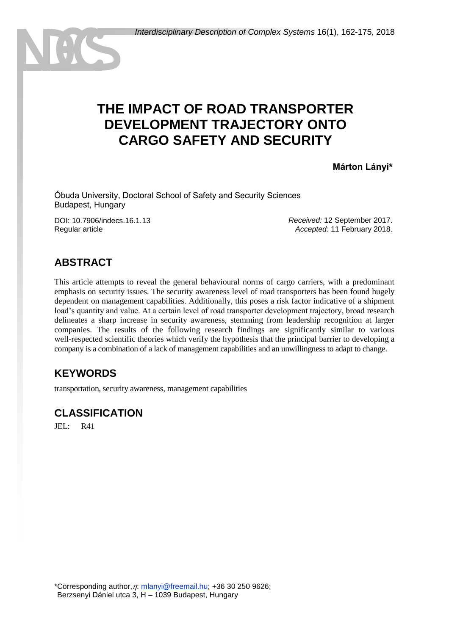# **THE IMPACT OF ROAD TRANSPORTER DEVELOPMENT TRAJECTORY ONTO CARGO SAFETY AND SECURITY**

**Márton Lányi\***

Óbuda University, Doctoral School of Safety and Security Sciences Budapest, Hungary

DOI: 10.7906/indecs.16.1.13 Regular article

*Received:* 12 September 2017. *Accepted:* 11 February 2018.

## **ABSTRACT**

This article attempts to reveal the general behavioural norms of cargo carriers, with a predominant emphasis on security issues. The security awareness level of road transporters has been found hugely dependent on management capabilities. Additionally, this poses a risk factor indicative of a shipment load's quantity and value. At a certain level of road transporter development trajectory, broad research delineates a sharp increase in security awareness, stemming from leadership recognition at larger companies. The results of the following research findings are significantly similar to various well-respected scientific theories which verify the hypothesis that the principal barrier to developing a company is a combination of a lack of management capabilities and an unwillingness to adapt to change.

## **KEYWORDS**

transportation, security awareness, management capabilities

### **CLASSIFICATION**

JEL: R41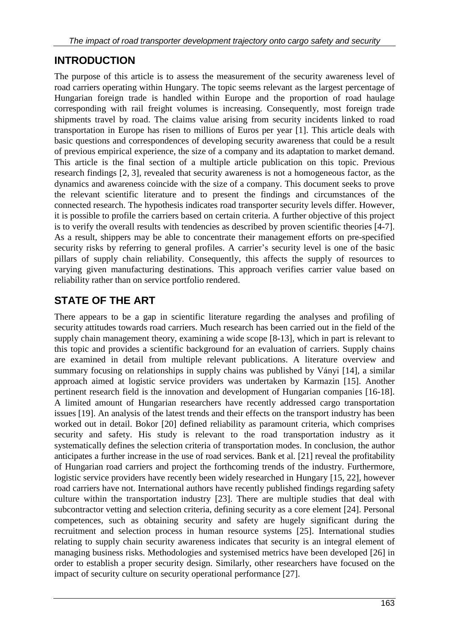## **INTRODUCTION**

The purpose of this article is to assess the measurement of the security awareness level of road carriers operating within Hungary. The topic seems relevant as the largest percentage of Hungarian foreign trade is handled within Europe and the proportion of road haulage corresponding with rail freight volumes is increasing. Consequently, most foreign trade shipments travel by road. The claims value arising from security incidents linked to road transportation in Europe has risen to millions of Euros per year [1]. This article deals with basic questions and correspondences of developing security awareness that could be a result of previous empirical experience, the size of a company and its adaptation to market demand. This article is the final section of a multiple article publication on this topic. Previous research findings [2, 3], revealed that security awareness is not a homogeneous factor, as the dynamics and awareness coincide with the size of a company. This document seeks to prove the relevant scientific literature and to present the findings and circumstances of the connected research. The hypothesis indicates road transporter security levels differ. However, it is possible to profile the carriers based on certain criteria. A further objective of this project is to verify the overall results with tendencies as described by proven scientific theories [4-7]. As a result, shippers may be able to concentrate their management efforts on pre-specified security risks by referring to general profiles. A carrier's security level is one of the basic pillars of supply chain reliability. Consequently, this affects the supply of resources to varying given manufacturing destinations. This approach verifies carrier value based on reliability rather than on service portfolio rendered.

## **STATE OF THE ART**

There appears to be a gap in scientific literature regarding the analyses and profiling of security attitudes towards road carriers. Much research has been carried out in the field of the supply chain management theory, examining a wide scope [8-13], which in part is relevant to this topic and provides a scientific background for an evaluation of carriers. Supply chains are examined in detail from multiple relevant publications. A literature overview and summary focusing on relationships in supply chains was published by Ványi [14], a similar approach aimed at logistic service providers was undertaken by Karmazin [15]. Another pertinent research field is the innovation and development of Hungarian companies [16-18]. A limited amount of Hungarian researchers have recently addressed cargo transportation issues [19]. An analysis of the latest trends and their effects on the transport industry has been worked out in detail. Bokor [20] defined reliability as paramount criteria, which comprises security and safety. His study is relevant to the road transportation industry as it systematically defines the selection criteria of transportation modes. In conclusion, the author anticipates a further increase in the use of road services. Bank et al. [21] reveal the profitability of Hungarian road carriers and project the forthcoming trends of the industry. Furthermore, logistic service providers have recently been widely researched in Hungary [15, 22], however road carriers have not. International authors have recently published findings regarding safety culture within the transportation industry [23]. There are multiple studies that deal with subcontractor vetting and selection criteria, defining security as a core element [24]. Personal competences, such as obtaining security and safety are hugely significant during the recruitment and selection process in human resource systems [25]. International studies relating to supply chain security awareness indicates that security is an integral element of managing business risks. Methodologies and systemised metrics have been developed [26] in order to establish a proper security design. Similarly, other researchers have focused on the impact of security culture on security operational performance [27].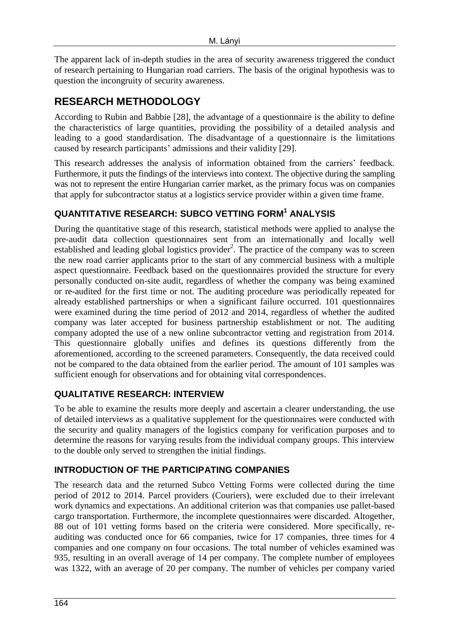The apparent lack of in-depth studies in the area of security awareness triggered the conduct of research pertaining to Hungarian road carriers. The basis of the original hypothesis was to question the incongruity of security awareness.

## **RESEARCH METHODOLOGY**

According to Rubin and Babbie [28], the advantage of a questionnaire is the ability to define the characteristics of large quantities, providing the possibility of a detailed analysis and leading to a good standardisation. The disadvantage of a questionnaire is the limitations caused by research participants' admissions and their validity [29].

This research addresses the analysis of information obtained from the carriers' feedback. Furthermore, it puts the findings of the interviews into context. The objective during the sampling was not to represent the entire Hungarian carrier market, as the primary focus was on companies that apply for subcontractor status at a logistics service provider within a given time frame.

### **QUANTITATIVE RESEARCH: SUBCO VETTING FORM<sup>1</sup> ANALYSIS**

During the quantitative stage of this research, statistical methods were applied to analyse the pre-audit data collection questionnaires sent from an internationally and locally well established and leading global logistics provider<sup>2</sup>. The practice of the company was to screen the new road carrier applicants prior to the start of any commercial business with a multiple aspect questionnaire. Feedback based on the questionnaires provided the structure for every personally conducted on-site audit, regardless of whether the company was being examined or re-audited for the first time or not. The auditing procedure was periodically repeated for already established partnerships or when a significant failure occurred. 101 questionnaires were examined during the time period of 2012 and 2014, regardless of whether the audited company was later accepted for business partnership establishment or not. The auditing company adopted the use of a new online subcontractor vetting and registration from 2014. This questionnaire globally unifies and defines its questions differently from the aforementioned, according to the screened parameters. Consequently, the data received could not be compared to the data obtained from the earlier period. The amount of 101 samples was sufficient enough for observations and for obtaining vital correspondences.

#### **QUALITATIVE RESEARCH: INTERVIEW**

To be able to examine the results more deeply and ascertain a clearer understanding, the use of detailed interviews as a qualitative supplement for the questionnaires were conducted with the security and quality managers of the logistics company for verification purposes and to determine the reasons for varying results from the individual company groups. This interview to the double only served to strengthen the initial findings.

#### **INTRODUCTION OF THE PARTICIPATING COMPANIES**

The research data and the returned Subco Vetting Forms were collected during the time period of 2012 to 2014. Parcel providers (Couriers), were excluded due to their irrelevant work dynamics and expectations. An additional criterion was that companies use pallet-based cargo transportation. Furthermore, the incomplete questionnaires were discarded. Altogether, 88 out of 101 vetting forms based on the criteria were considered. More specifically, reauditing was conducted once for 66 companies, twice for 17 companies, three times for 4 companies and one company on four occasions. The total number of vehicles examined was 935, resulting in an overall average of 14 per company. The complete number of employees was 1322, with an average of 20 per company. The number of vehicles per company varied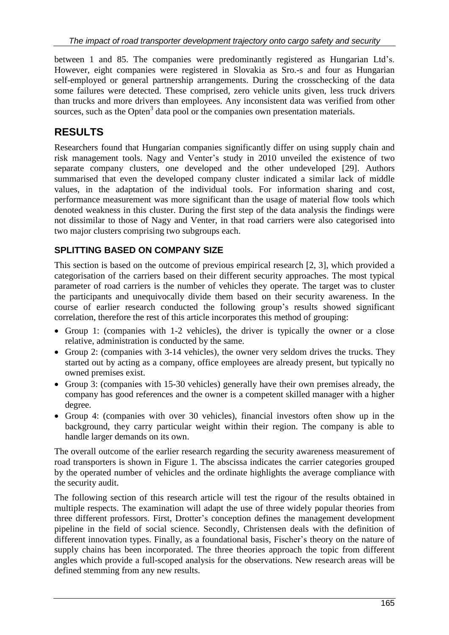between 1 and 85. The companies were predominantly registered as Hungarian Ltd's. However, eight companies were registered in Slovakia as Sro.-s and four as Hungarian self-employed or general partnership arrangements. During the crosschecking of the data some failures were detected. These comprised, zero vehicle units given, less truck drivers than trucks and more drivers than employees. Any inconsistent data was verified from other sources, such as the Opten $3$  data pool or the companies own presentation materials.

## **RESULTS**

Researchers found that Hungarian companies significantly differ on using supply chain and risk management tools. Nagy and Venter's study in 2010 unveiled the existence of two separate company clusters, one developed and the other undeveloped [29]. Authors summarised that even the developed company cluster indicated a similar lack of middle values, in the adaptation of the individual tools. For information sharing and cost, performance measurement was more significant than the usage of material flow tools which denoted weakness in this cluster. During the first step of the data analysis the findings were not dissimilar to those of Nagy and Venter, in that road carriers were also categorised into two major clusters comprising two subgroups each.

### **SPLITTING BASED ON COMPANY SIZE**

This section is based on the outcome of previous empirical research [2, 3], which provided a categorisation of the carriers based on their different security approaches. The most typical parameter of road carriers is the number of vehicles they operate. The target was to cluster the participants and unequivocally divide them based on their security awareness. In the course of earlier research conducted the following group's results showed significant correlation, therefore the rest of this article incorporates this method of grouping:

- Group 1: (companies with 1-2 vehicles), the driver is typically the owner or a close relative, administration is conducted by the same.
- Group 2: (companies with 3-14 vehicles), the owner very seldom drives the trucks. They started out by acting as a company, office employees are already present, but typically no owned premises exist.
- Group 3: (companies with 15-30 vehicles) generally have their own premises already, the company has good references and the owner is a competent skilled manager with a higher degree.
- Group 4: (companies with over 30 vehicles), financial investors often show up in the background, they carry particular weight within their region. The company is able to handle larger demands on its own.

The overall outcome of the earlier research regarding the security awareness measurement of road transporters is shown in Figure 1. The abscissa indicates the carrier categories grouped by the operated number of vehicles and the ordinate highlights the average compliance with the security audit.

The following section of this research article will test the rigour of the results obtained in multiple respects. The examination will adapt the use of three widely popular theories from three different professors. First, Drotter's conception defines the management development pipeline in the field of social science. Secondly, Christensen deals with the definition of different innovation types. Finally, as a foundational basis, Fischer's theory on the nature of supply chains has been incorporated. The three theories approach the topic from different angles which provide a full-scoped analysis for the observations. New research areas will be defined stemming from any new results.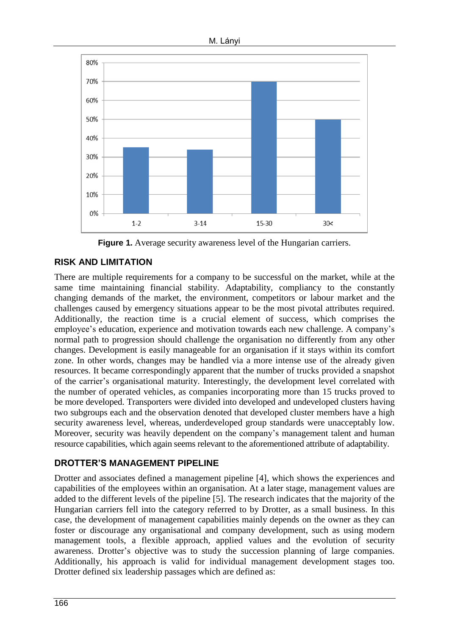



**Figure 1.** Average security awareness level of the Hungarian carriers.

### **RISK AND LIMITATION**

There are multiple requirements for a company to be successful on the market, while at the same time maintaining financial stability. Adaptability, compliancy to the constantly changing demands of the market, the environment, competitors or labour market and the challenges caused by emergency situations appear to be the most pivotal attributes required. Additionally, the reaction time is a crucial element of success, which comprises the employee's education, experience and motivation towards each new challenge. A company's normal path to progression should challenge the organisation no differently from any other changes. Development is easily manageable for an organisation if it stays within its comfort zone. In other words, changes may be handled via a more intense use of the already given resources. It became correspondingly apparent that the number of trucks provided a snapshot of the carrier's organisational maturity. Interestingly, the development level correlated with the number of operated vehicles, as companies incorporating more than 15 trucks proved to be more developed. Transporters were divided into developed and undeveloped clusters having two subgroups each and the observation denoted that developed cluster members have a high security awareness level, whereas, underdeveloped group standards were unacceptably low. Moreover, security was heavily dependent on the company's management talent and human resource capabilities, which again seems relevant to the aforementioned attribute of adaptability.

#### **DROTTER'S MANAGEMENT PIPELINE**

Drotter and associates defined a management pipeline [4], which shows the experiences and capabilities of the employees within an organisation. At a later stage, management values are added to the different levels of the pipeline [5]. The research indicates that the majority of the Hungarian carriers fell into the category referred to by Drotter, as a small business. In this case, the development of management capabilities mainly depends on the owner as they can foster or discourage any organisational and company development, such as using modern management tools, a flexible approach, applied values and the evolution of security awareness. Drotter's objective was to study the succession planning of large companies. Additionally, his approach is valid for individual management development stages too. Drotter defined six leadership passages which are defined as: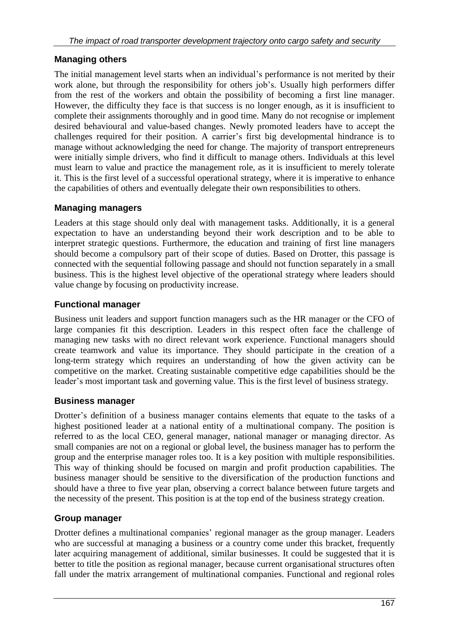#### **Managing others**

The initial management level starts when an individual's performance is not merited by their work alone, but through the responsibility for others job's. Usually high performers differ from the rest of the workers and obtain the possibility of becoming a first line manager. However, the difficulty they face is that success is no longer enough, as it is insufficient to complete their assignments thoroughly and in good time. Many do not recognise or implement desired behavioural and value-based changes. Newly promoted leaders have to accept the challenges required for their position. A carrier's first big developmental hindrance is to manage without acknowledging the need for change. The majority of transport entrepreneurs were initially simple drivers, who find it difficult to manage others. Individuals at this level must learn to value and practice the management role, as it is insufficient to merely tolerate it. This is the first level of a successful operational strategy, where it is imperative to enhance the capabilities of others and eventually delegate their own responsibilities to others.

#### **Managing managers**

Leaders at this stage should only deal with management tasks. Additionally, it is a general expectation to have an understanding beyond their work description and to be able to interpret strategic questions. Furthermore, the education and training of first line managers should become a compulsory part of their scope of duties. Based on Drotter, this passage is connected with the sequential following passage and should not function separately in a small business. This is the highest level objective of the operational strategy where leaders should value change by focusing on productivity increase.

#### **Functional manager**

Business unit leaders and support function managers such as the HR manager or the CFO of large companies fit this description. Leaders in this respect often face the challenge of managing new tasks with no direct relevant work experience. Functional managers should create teamwork and value its importance. They should participate in the creation of a long-term strategy which requires an understanding of how the given activity can be competitive on the market. Creating sustainable competitive edge capabilities should be the leader's most important task and governing value. This is the first level of business strategy.

#### **Business manager**

Drotter's definition of a business manager contains elements that equate to the tasks of a highest positioned leader at a national entity of a multinational company. The position is referred to as the local CEO, general manager, national manager or managing director. As small companies are not on a regional or global level, the business manager has to perform the group and the enterprise manager roles too. It is a key position with multiple responsibilities. This way of thinking should be focused on margin and profit production capabilities. The business manager should be sensitive to the diversification of the production functions and should have a three to five year plan, observing a correct balance between future targets and the necessity of the present. This position is at the top end of the business strategy creation.

#### **Group manager**

Drotter defines a multinational companies' regional manager as the group manager. Leaders who are successful at managing a business or a country come under this bracket, frequently later acquiring management of additional, similar businesses. It could be suggested that it is better to title the position as regional manager, because current organisational structures often fall under the matrix arrangement of multinational companies. Functional and regional roles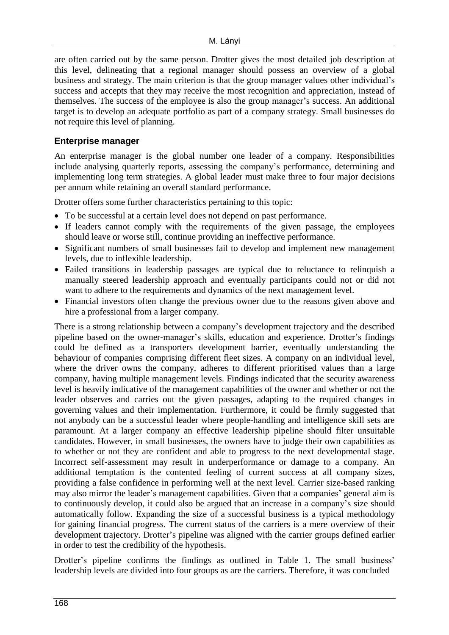are often carried out by the same person. Drotter gives the most detailed job description at this level, delineating that a regional manager should possess an overview of a global business and strategy. The main criterion is that the group manager values other individual's success and accepts that they may receive the most recognition and appreciation, instead of themselves. The success of the employee is also the group manager's success. An additional target is to develop an adequate portfolio as part of a company strategy. Small businesses do not require this level of planning.

#### **Enterprise manager**

An enterprise manager is the global number one leader of a company. Responsibilities include analysing quarterly reports, assessing the company's performance, determining and implementing long term strategies. A global leader must make three to four major decisions per annum while retaining an overall standard performance.

Drotter offers some further characteristics pertaining to this topic:

- To be successful at a certain level does not depend on past performance.
- If leaders cannot comply with the requirements of the given passage, the employees should leave or worse still, continue providing an ineffective performance.
- Significant numbers of small businesses fail to develop and implement new management levels, due to inflexible leadership.
- Failed transitions in leadership passages are typical due to reluctance to relinquish a manually steered leadership approach and eventually participants could not or did not want to adhere to the requirements and dynamics of the next management level.
- Financial investors often change the previous owner due to the reasons given above and hire a professional from a larger company.

There is a strong relationship between a company's development trajectory and the described pipeline based on the owner-manager's skills, education and experience. Drotter's findings could be defined as a transporters development barrier, eventually understanding the behaviour of companies comprising different fleet sizes. A company on an individual level, where the driver owns the company, adheres to different prioritised values than a large company, having multiple management levels. Findings indicated that the security awareness level is heavily indicative of the management capabilities of the owner and whether or not the leader observes and carries out the given passages, adapting to the required changes in governing values and their implementation. Furthermore, it could be firmly suggested that not anybody can be a successful leader where people-handling and intelligence skill sets are paramount. At a larger company an effective leadership pipeline should filter unsuitable candidates. However, in small businesses, the owners have to judge their own capabilities as to whether or not they are confident and able to progress to the next developmental stage. Incorrect self-assessment may result in underperformance or damage to a company. An additional temptation is the contented feeling of current success at all company sizes, providing a false confidence in performing well at the next level. Carrier size-based ranking may also mirror the leader's management capabilities. Given that a companies' general aim is to continuously develop, it could also be argued that an increase in a company's size should automatically follow. Expanding the size of a successful business is a typical methodology for gaining financial progress. The current status of the carriers is a mere overview of their development trajectory. Drotter's pipeline was aligned with the carrier groups defined earlier in order to test the credibility of the hypothesis.

Drotter's pipeline confirms the findings as outlined in Table 1. The small business' leadership levels are divided into four groups as are the carriers. Therefore, it was concluded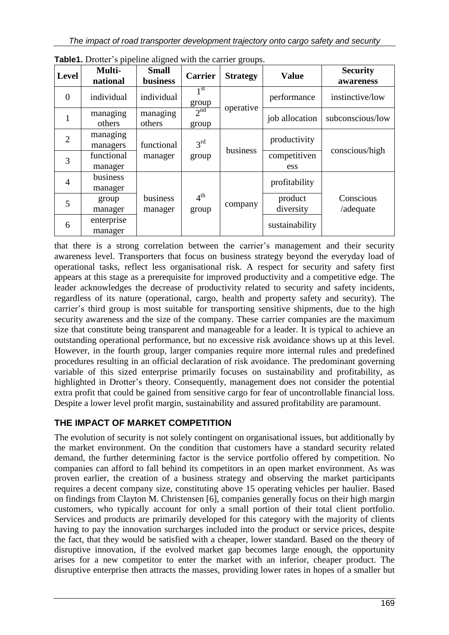| <b>Level</b>   | $\mathbf{r}$<br>Multi-<br>national | <b>Small</b><br><b>business</b> | <b>Carrier</b>           | <b>Strategy</b> | <b>Value</b>         | <b>Security</b><br>awareness |
|----------------|------------------------------------|---------------------------------|--------------------------|-----------------|----------------------|------------------------------|
| $\overline{0}$ | individual                         | individual                      | 1 <sup>st</sup><br>group | operative       | performance          | instinctive/low              |
| 1              | managing<br>others                 | managing<br>others              | 2 <sup>nd</sup><br>group |                 | job allocation       | subconscious/low             |
| $\overline{2}$ | managing<br>managers               | functional                      | 3 <sup>rd</sup>          | business        | productivity         |                              |
| 3              | functional<br>manager              | manager                         | group                    |                 | competitiven<br>ess  | conscious/high               |
| $\overline{4}$ | business<br>manager                |                                 |                          |                 | profitability        |                              |
| 5              | group<br>manager                   | business<br>manager             | 4 <sup>th</sup><br>group | company         | product<br>diversity | Conscious<br>/adequate       |
| 6              | enterprise<br>manager              |                                 |                          |                 | sustainability       |                              |

**Table1.** Drotter's pipeline aligned with the carrier groups.

that there is a strong correlation between the carrier's management and their security awareness level. Transporters that focus on business strategy beyond the everyday load of operational tasks, reflect less organisational risk. A respect for security and safety first appears at this stage as a prerequisite for improved productivity and a competitive edge. The leader acknowledges the decrease of productivity related to security and safety incidents, regardless of its nature (operational, cargo, health and property safety and security). The carrier's third group is most suitable for transporting sensitive shipments, due to the high security awareness and the size of the company. These carrier companies are the maximum size that constitute being transparent and manageable for a leader. It is typical to achieve an outstanding operational performance, but no excessive risk avoidance shows up at this level. However, in the fourth group, larger companies require more internal rules and predefined procedures resulting in an official declaration of risk avoidance. The predominant governing variable of this sized enterprise primarily focuses on sustainability and profitability, as highlighted in Drotter's theory. Consequently, management does not consider the potential extra profit that could be gained from sensitive cargo for fear of uncontrollable financial loss. Despite a lower level profit margin, sustainability and assured profitability are paramount.

### **THE IMPACT OF MARKET COMPETITION**

The evolution of security is not solely contingent on organisational issues, but additionally by the market environment. On the condition that customers have a standard security related demand, the further determining factor is the service portfolio offered by competition. No companies can afford to fall behind its competitors in an open market environment. As was proven earlier, the creation of a business strategy and observing the market participants requires a decent company size, constituting above 15 operating vehicles per haulier. Based on findings from Clayton M. Christensen [6], companies generally focus on their high margin customers, who typically account for only a small portion of their total client portfolio. Services and products are primarily developed for this category with the majority of clients having to pay the innovation surcharges included into the product or service prices, despite the fact, that they would be satisfied with a cheaper, lower standard. Based on the theory of disruptive innovation, if the evolved market gap becomes large enough, the opportunity arises for a new competitor to enter the market with an inferior, cheaper product. The disruptive enterprise then attracts the masses, providing lower rates in hopes of a smaller but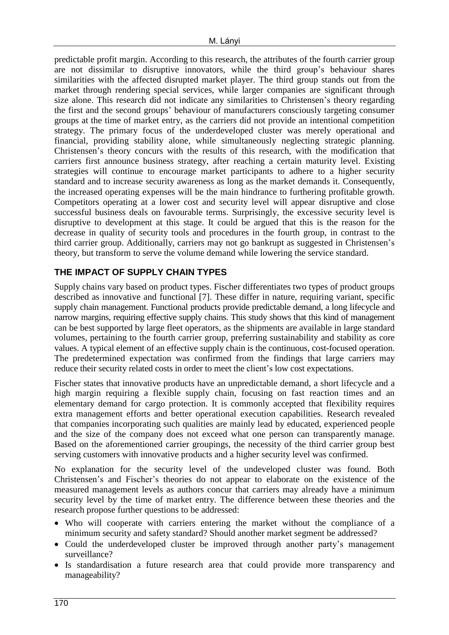predictable profit margin. According to this research, the attributes of the fourth carrier group are not dissimilar to disruptive innovators, while the third group's behaviour shares similarities with the affected disrupted market player. The third group stands out from the market through rendering special services, while larger companies are significant through size alone. This research did not indicate any similarities to Christensen's theory regarding the first and the second groups' behaviour of manufacturers consciously targeting consumer groups at the time of market entry, as the carriers did not provide an intentional competition strategy. The primary focus of the underdeveloped cluster was merely operational and financial, providing stability alone, while simultaneously neglecting strategic planning. Christensen's theory concurs with the results of this research, with the modification that carriers first announce business strategy, after reaching a certain maturity level. Existing strategies will continue to encourage market participants to adhere to a higher security standard and to increase security awareness as long as the market demands it. Consequently, the increased operating expenses will be the main hindrance to furthering profitable growth. Competitors operating at a lower cost and security level will appear disruptive and close successful business deals on favourable terms. Surprisingly, the excessive security level is disruptive to development at this stage. It could be argued that this is the reason for the decrease in quality of security tools and procedures in the fourth group, in contrast to the third carrier group. Additionally, carriers may not go bankrupt as suggested in Christensen's theory, but transform to serve the volume demand while lowering the service standard.

### **THE IMPACT OF SUPPLY CHAIN TYPES**

Supply chains vary based on product types. Fischer differentiates two types of product groups described as innovative and functional [7]. These differ in nature, requiring variant, specific supply chain management. Functional products provide predictable demand, a long lifecycle and narrow margins, requiring effective supply chains. This study shows that this kind of management can be best supported by large fleet operators, as the shipments are available in large standard volumes, pertaining to the fourth carrier group, preferring sustainability and stability as core values. A typical element of an effective supply chain is the continuous, cost-focused operation. The predetermined expectation was confirmed from the findings that large carriers may reduce their security related costs in order to meet the client's low cost expectations.

Fischer states that innovative products have an unpredictable demand, a short lifecycle and a high margin requiring a flexible supply chain, focusing on fast reaction times and an elementary demand for cargo protection. It is commonly accepted that flexibility requires extra management efforts and better operational execution capabilities. Research revealed that companies incorporating such qualities are mainly lead by educated, experienced people and the size of the company does not exceed what one person can transparently manage. Based on the aforementioned carrier groupings, the necessity of the third carrier group best serving customers with innovative products and a higher security level was confirmed.

No explanation for the security level of the undeveloped cluster was found. Both Christensen's and Fischer's theories do not appear to elaborate on the existence of the measured management levels as authors concur that carriers may already have a minimum security level by the time of market entry. The difference between these theories and the research propose further questions to be addressed:

- Who will cooperate with carriers entering the market without the compliance of a minimum security and safety standard? Should another market segment be addressed?
- Could the underdeveloped cluster be improved through another party's management surveillance?
- Is standardisation a future research area that could provide more transparency and manageability?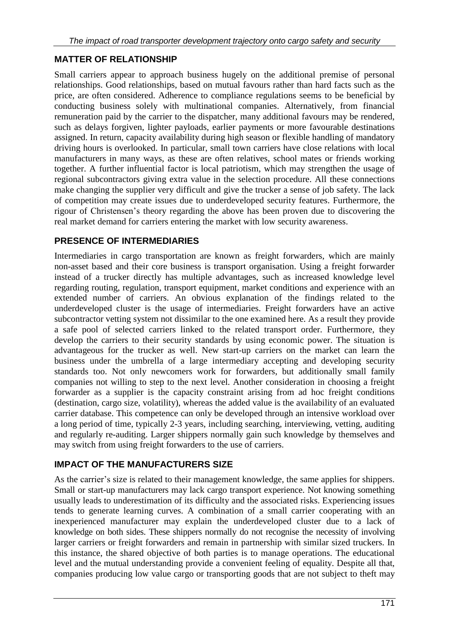### **MATTER OF RELATIONSHIP**

Small carriers appear to approach business hugely on the additional premise of personal relationships. Good relationships, based on mutual favours rather than hard facts such as the price, are often considered. Adherence to compliance regulations seems to be beneficial by conducting business solely with multinational companies. Alternatively, from financial remuneration paid by the carrier to the dispatcher, many additional favours may be rendered, such as delays forgiven, lighter payloads, earlier payments or more favourable destinations assigned. In return, capacity availability during high season or flexible handling of mandatory driving hours is overlooked. In particular, small town carriers have close relations with local manufacturers in many ways, as these are often relatives, school mates or friends working together. A further influential factor is local patriotism, which may strengthen the usage of regional subcontractors giving extra value in the selection procedure. All these connections make changing the supplier very difficult and give the trucker a sense of job safety. The lack of competition may create issues due to underdeveloped security features. Furthermore, the rigour of Christensen's theory regarding the above has been proven due to discovering the real market demand for carriers entering the market with low security awareness.

### **PRESENCE OF INTERMEDIARIES**

Intermediaries in cargo transportation are known as freight forwarders, which are mainly non-asset based and their core business is transport organisation. Using a freight forwarder instead of a trucker directly has multiple advantages, such as increased knowledge level regarding routing, regulation, transport equipment, market conditions and experience with an extended number of carriers. An obvious explanation of the findings related to the underdeveloped cluster is the usage of intermediaries. Freight forwarders have an active subcontractor vetting system not dissimilar to the one examined here. As a result they provide a safe pool of selected carriers linked to the related transport order. Furthermore, they develop the carriers to their security standards by using economic power. The situation is advantageous for the trucker as well. New start-up carriers on the market can learn the business under the umbrella of a large intermediary accepting and developing security standards too. Not only newcomers work for forwarders, but additionally small family companies not willing to step to the next level. Another consideration in choosing a freight forwarder as a supplier is the capacity constraint arising from ad hoc freight conditions (destination, cargo size, volatility), whereas the added value is the availability of an evaluated carrier database. This competence can only be developed through an intensive workload over a long period of time, typically 2-3 years, including searching, interviewing, vetting, auditing and regularly re-auditing. Larger shippers normally gain such knowledge by themselves and may switch from using freight forwarders to the use of carriers.

### **IMPACT OF THE MANUFACTURERS SIZE**

As the carrier's size is related to their management knowledge, the same applies for shippers. Small or start-up manufacturers may lack cargo transport experience. Not knowing something usually leads to underestimation of its difficulty and the associated risks. Experiencing issues tends to generate learning curves. A combination of a small carrier cooperating with an inexperienced manufacturer may explain the underdeveloped cluster due to a lack of knowledge on both sides. These shippers normally do not recognise the necessity of involving larger carriers or freight forwarders and remain in partnership with similar sized truckers. In this instance, the shared objective of both parties is to manage operations. The educational level and the mutual understanding provide a convenient feeling of equality. Despite all that, companies producing low value cargo or transporting goods that are not subject to theft may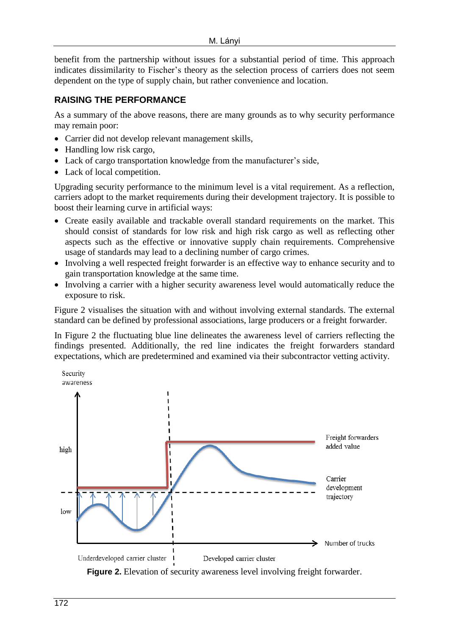benefit from the partnership without issues for a substantial period of time. This approach indicates dissimilarity to Fischer's theory as the selection process of carriers does not seem dependent on the type of supply chain, but rather convenience and location.

#### **RAISING THE PERFORMANCE**

As a summary of the above reasons, there are many grounds as to why security performance may remain poor:

- Carrier did not develop relevant management skills,
- Handling low risk cargo,
- Lack of cargo transportation knowledge from the manufacturer's side,
- Lack of local competition.

Upgrading security performance to the minimum level is a vital requirement. As a reflection, carriers adopt to the market requirements during their development trajectory. It is possible to boost their learning curve in artificial ways:

- Create easily available and trackable overall standard requirements on the market. This should consist of standards for low risk and high risk cargo as well as reflecting other aspects such as the effective or innovative supply chain requirements. Comprehensive usage of standards may lead to a declining number of cargo crimes.
- Involving a well respected freight forwarder is an effective way to enhance security and to gain transportation knowledge at the same time.
- Involving a carrier with a higher security awareness level would automatically reduce the exposure to risk.

Figure 2 visualises the situation with and without involving external standards. The external standard can be defined by professional associations, large producers or a freight forwarder.

In Figure 2 the fluctuating blue line delineates the awareness level of carriers reflecting the findings presented. Additionally, the red line indicates the freight forwarders standard expectations, which are predetermined and examined via their subcontractor vetting activity.



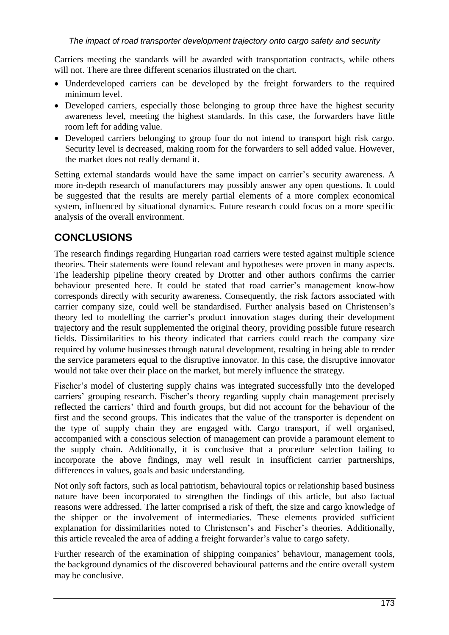Carriers meeting the standards will be awarded with transportation contracts, while others will not. There are three different scenarios illustrated on the chart.

- Underdeveloped carriers can be developed by the freight forwarders to the required minimum level.
- Developed carriers, especially those belonging to group three have the highest security awareness level, meeting the highest standards. In this case, the forwarders have little room left for adding value.
- Developed carriers belonging to group four do not intend to transport high risk cargo. Security level is decreased, making room for the forwarders to sell added value. However, the market does not really demand it.

Setting external standards would have the same impact on carrier's security awareness. A more in-depth research of manufacturers may possibly answer any open questions. It could be suggested that the results are merely partial elements of a more complex economical system, influenced by situational dynamics. Future research could focus on a more specific analysis of the overall environment.

## **CONCLUSIONS**

The research findings regarding Hungarian road carriers were tested against multiple science theories. Their statements were found relevant and hypotheses were proven in many aspects. The leadership pipeline theory created by Drotter and other authors confirms the carrier behaviour presented here. It could be stated that road carrier's management know-how corresponds directly with security awareness. Consequently, the risk factors associated with carrier company size, could well be standardised. Further analysis based on Christensen's theory led to modelling the carrier's product innovation stages during their development trajectory and the result supplemented the original theory, providing possible future research fields. Dissimilarities to his theory indicated that carriers could reach the company size required by volume businesses through natural development, resulting in being able to render the service parameters equal to the disruptive innovator. In this case, the disruptive innovator would not take over their place on the market, but merely influence the strategy.

Fischer's model of clustering supply chains was integrated successfully into the developed carriers' grouping research. Fischer's theory regarding supply chain management precisely reflected the carriers' third and fourth groups, but did not account for the behaviour of the first and the second groups. This indicates that the value of the transporter is dependent on the type of supply chain they are engaged with. Cargo transport, if well organised, accompanied with a conscious selection of management can provide a paramount element to the supply chain. Additionally, it is conclusive that a procedure selection failing to incorporate the above findings, may well result in insufficient carrier partnerships, differences in values, goals and basic understanding.

Not only soft factors, such as local patriotism, behavioural topics or relationship based business nature have been incorporated to strengthen the findings of this article, but also factual reasons were addressed. The latter comprised a risk of theft, the size and cargo knowledge of the shipper or the involvement of intermediaries. These elements provided sufficient explanation for dissimilarities noted to Christensen's and Fischer's theories. Additionally, this article revealed the area of adding a freight forwarder's value to cargo safety.

Further research of the examination of shipping companies' behaviour, management tools, the background dynamics of the discovered behavioural patterns and the entire overall system may be conclusive.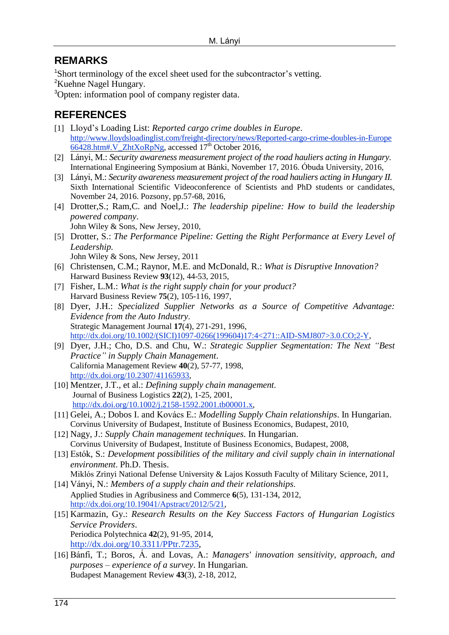## **REMARKS**

<sup>1</sup>Short terminology of the excel sheet used for the subcontractor's vetting.

<sup>2</sup>Kuehne Nagel Hungary.

<sup>3</sup>Opten: information pool of company register data.

## **REFERENCES**

- [1] Lloyd's Loading List: *Reported cargo crime doubles in Europe*. [http://www.lloydsloadinglist.com/freight-directory/news/Reported-cargo-crime-doubles-in-Europe](http://www.lloydsloadinglist.com/freight-directory/news/Reported-cargo-crime-doubles-in-Europe/66428.htm#.V_ZhtXoRpNg) [66428.htm#.V\\_ZhtXoRpNg,](http://www.lloydsloadinglist.com/freight-directory/news/Reported-cargo-crime-doubles-in-Europe/66428.htm#.V_ZhtXoRpNg) accessed  $17<sup>th</sup>$  October 2016,
- [2] Lányi, M.: *Security awareness measurement project of the road hauliers acting in Hungary*. International Engineering Symposium at Bánki, November 17, 2016. Óbuda University, 2016,
- [3] Lányi, M.: *Security awareness measurement project of the road hauliers acting in Hungary II.* Sixth International Scientific Videoconference of Scientists and PhD students or candidates, November 24, 2016. Pozsony, pp.57-68, 2016,
- [4] Drotter,S.; Ram,C. and Noel,J.: *The leadership pipeline: How to build the leadership powered company*. John Wiley & Sons, New Jersey, 2010,
- [5] Drotter, S.: *The Performance Pipeline: Getting the Right Performance at Every Level of Leadership.* John Wiley & Sons, New Jersey, 2011
- [6] Christensen, C.M.; Raynor, M.E. and McDonald, R.: *What is Disruptive Innovation?* Harward Business Review **93**(12), 44-53, 2015,
- [7] Fisher, L.M.: *What is the right supply chain for your product?* Harvard Business Review **75**(2), 105-116, 1997,
- [8] Dyer, J.H.: *Specialized Supplier Networks as a Source of Competitive Advantage: Evidence from the Auto Industry*. Strategic Management Journal **17**(4), 271-291, 1996, [http://dx.doi.org/10.1002/\(SICI\)1097-0266\(199604\)17:4<271::AID-SMJ807>3.0.CO;2-Y,](http://dx.doi.org/10.1002/(SICI)1097-0266(199604)17:4%3c271::AID-SMJ807%3e3.0.CO;2-Y)
- [9] Dyer, J.H.; Cho, D.S. and Chu, W.: *Strategic Supplier Segmentation: The Next "Best Practice" in Supply Chain Management*. California Management Review **40**(2), 57-77, 1998, [http://dx.doi.org/10.2307/41165933,](http://dx.doi.org/10.2307/41165933)
- [10] Mentzer, J.T., et al.: *Defining supply chain management*. Journal of Business Logistics **22**(2), 1-25, 2001, [http://dx.doi.org/10.1002/j.2158-1592.2001.tb00001.x,](http://dx.doi.org/10.1002/j.2158-1592.2001.tb00001.x)
- [11] Gelei, A.; Dobos I. and Kovács E.: *Modelling Supply Chain relationships*. In Hungarian. Corvinus University of Budapest, Institute of Business Economics, Budapest, 2010,
- [12] Nagy, J.: *Supply Chain management techniques*. In Hungarian. Corvinus University of Budapest, Institute of Business Economics, Budapest, 2008,
- [13] Estók, S.: *Development possibilities of the military and civil supply chain in international environment*. Ph.D. Thesis.
- Miklós Zrinyi National Defense University & Lajos Kossuth Faculty of Military Science, 2011, [14] Ványi, N.: *Members of a supply chain and their relationships*.
- Applied Studies in Agribusiness and Commerce **6**(5), 131-134, 2012, [http://dx.doi.org/10.19041/Apstract/2012/5/21,](http://dx.doi.org/10.19041/Apstract/2012/5/21)
- [15] Karmazin, Gy.: *Research Results on the Key Success Factors of Hungarian Logistics Service Providers*. Periodica Polytechnica **42**(2), 91-95, 2014, http://dx.doi[.org/10.3311/PPtr.7235,](http://dx.doi.org/10.3311/PPtr.7235)
- [16] Bánfi, T.; Boros, Á. and Lovas, A.: *Managers' innovation sensitivity, approach, and purposes – experience of a survey*. In Hungarian. Budapest Management Review **43**(3), 2-18, 2012,